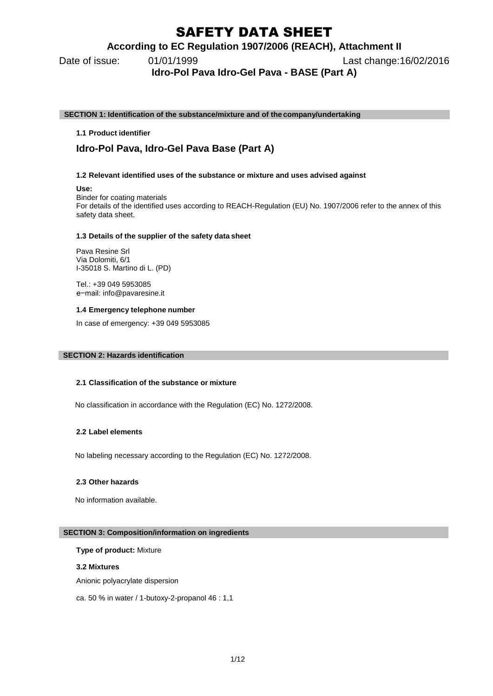# SAFETY DATA SHEET

### **According to EC Regulation 1907/2006 (REACH), Attachment II**

Date of issue: 01/01/1999 Last change:16/02/2016

**Idro-Pol Pava Idro-Gel Pava - BASE (Part A)**

**SECTION 1: Identification of the substance/mixture and of the company/undertaking**

### **1.1 Product identifier**

## **Idro-Pol Pava, Idro-Gel Pava Base (Part A)**

### **1.2 Relevant identified uses of the substance or mixture and uses advised against**

**Use:**

Binder for coating materials

For details of the identified uses according to REACH-Regulation (EU) No. 1907/2006 refer to the annex of this safety data sheet.

### **1.3 Details of the supplier of the safety data sheet**

Pava Resine Srl Via Dolomiti, 6/1 I-35018 S. Martino di L. (PD)

Tel.: +39 049 5953085 e−mail: [info@pavaresine.it](mailto:productsafety@covestro.com)

### **1.4 Emergency telephone number**

In case of emergency: +39 049 5953085

### **SECTION 2: Hazards identification**

### **2.1 Classification of the substance or mixture**

No classification in accordance with the Regulation (EC) No. 1272/2008.

### **2.2 Label elements**

No labeling necessary according to the Regulation (EC) No. 1272/2008.

### **2.3 Other hazards**

No information available.

### **SECTION 3: Composition/information on ingredients**

### **Type of product:** Mixture

### **3.2 Mixtures**

Anionic polyacrylate dispersion

ca. 50 % in water / 1-butoxy-2-propanol 46 : 1,1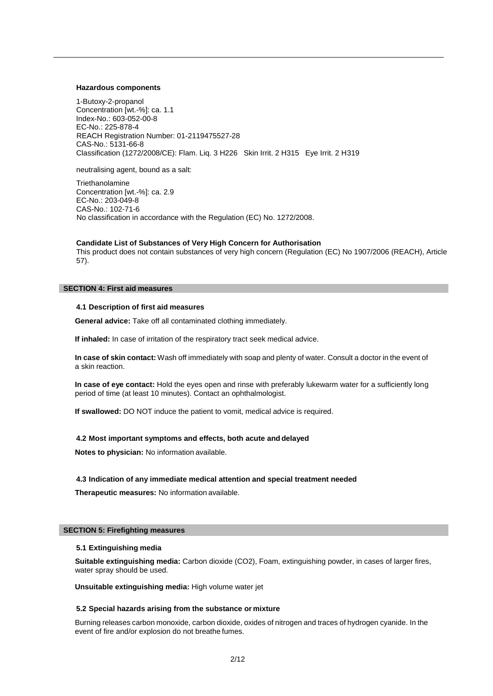### **Hazardous components**

1-Butoxy-2-propanol Concentration [wt.-%]: ca. 1.1 Index-No.: 603-052-00-8 EC-No.: 225-878-4 REACH Registration Number: 01-2119475527-28 CAS-No.: 5131-66-8 Classification (1272/2008/CE): Flam. Liq. 3 H226 Skin Irrit. 2 H315 Eye Irrit. 2 H319

neutralising agent, bound as a salt:

**Triethanolamine** No classification in accordance with the Regulation (EC) No. 1272/2008. Concentration [wt.-%]: ca. 2.9 EC-No.: 203-049-8 CAS-No.: 102-71-6

### **Candidate List of Substances of Very High Concern for Authorisation**

This product does not contain substances of very high concern (Regulation (EC) No 1907/2006 (REACH), Article 57).

### **SECTION 4: First aid measures**

### **4.1 Description of first aid measures**

**General advice:** Take off all contaminated clothing immediately.

**If inhaled:** In case of irritation of the respiratory tract seek medical advice.

**In case of skin contact:** Wash off immediately with soap and plenty of water. Consult a doctor in the event of a skin reaction.

**In case of eye contact:** Hold the eyes open and rinse with preferably lukewarm water for a sufficiently long period of time (at least 10 minutes). Contact an ophthalmologist.

**If swallowed:** DO NOT induce the patient to vomit, medical advice is required.

### **4.2 Most important symptoms and effects, both acute and delayed**

**Notes to physician:** No information available.

### **4.3 Indication of any immediate medical attention and special treatment needed**

**Therapeutic measures:** No information available.

### **SECTION 5: Firefighting measures**

### **5.1 Extinguishing media**

**Suitable extinguishing media:** Carbon dioxide (CO2), Foam, extinguishing powder, in cases of larger fires, water spray should be used.

**Unsuitable extinguishing media:** High volume water jet

### **5.2 Special hazards arising from the substance or mixture**

Burning releases carbon monoxide, carbon dioxide, oxides of nitrogen and traces of hydrogen cyanide. In the event of fire and/or explosion do not breathe fumes.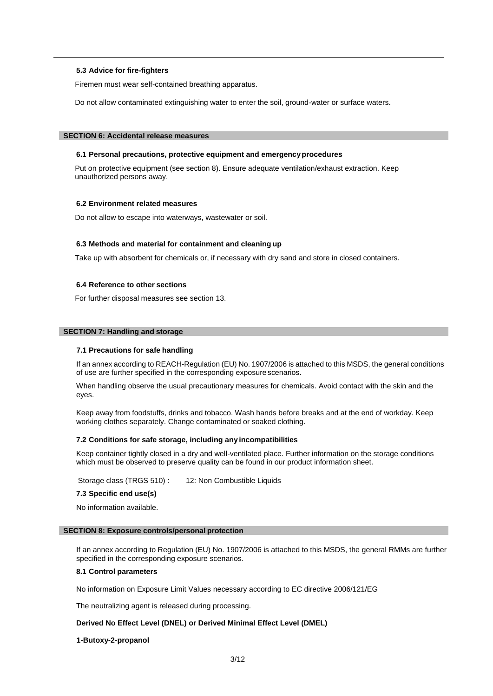### **5.3 Advice for fire-fighters**

Firemen must wear self-contained breathing apparatus.

Do not allow contaminated extinguishing water to enter the soil, ground-water or surface waters.

### **SECTION 6: Accidental release measures**

### **6.1 Personal precautions, protective equipment and emergencyprocedures**

Put on protective equipment (see section 8). Ensure adequate ventilation/exhaust extraction. Keep unauthorized persons away.

#### **6.2 Environment related measures**

Do not allow to escape into waterways, wastewater or soil.

### **6.3 Methods and material for containment and cleaning up**

Take up with absorbent for chemicals or, if necessary with dry sand and store in closed containers.

### **6.4 Reference to other sections**

For further disposal measures see section 13.

#### **SECTION 7: Handling and storage**

### **7.1 Precautions for safe handling**

If an annex according to REACH-Regulation (EU) No. 1907/2006 is attached to this MSDS, the general conditions of use are further specified in the corresponding exposure scenarios.

When handling observe the usual precautionary measures for chemicals. Avoid contact with the skin and the eyes.

Keep away from foodstuffs, drinks and tobacco. Wash hands before breaks and at the end of workday. Keep working clothes separately. Change contaminated or soaked clothing.

### **7.2 Conditions for safe storage, including any incompatibilities**

Keep container tightly closed in a dry and well-ventilated place. Further information on the storage conditions which must be observed to preserve quality can be found in our product information sheet.

Storage class (TRGS 510) : 12: Non Combustible Liquids

### **7.3 Specific end use(s)**

No information available.

#### **SECTION 8: Exposure controls/personal protection**

If an annex according to Regulation (EU) No. 1907/2006 is attached to this MSDS, the general RMMs are further specified in the corresponding exposure scenarios.

### **8.1 Control parameters**

No information on Exposure Limit Values necessary according to EC directive 2006/121/EG

The neutralizing agent is released during processing.

### **Derived No Effect Level (DNEL) or Derived Minimal Effect Level (DMEL)**

#### **1-Butoxy-2-propanol**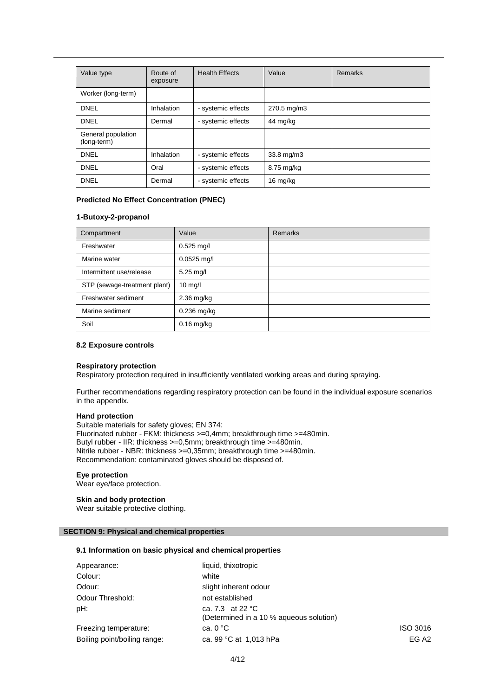| Value type                        | Route of<br>exposure | <b>Health Effects</b> | Value       | <b>Remarks</b> |
|-----------------------------------|----------------------|-----------------------|-------------|----------------|
| Worker (long-term)                |                      |                       |             |                |
| <b>DNEL</b>                       | Inhalation           | - systemic effects    | 270.5 mg/m3 |                |
| <b>DNEL</b>                       | Dermal               | - systemic effects    | 44 mg/kg    |                |
| General population<br>(long-term) |                      |                       |             |                |
| <b>DNEL</b>                       | Inhalation           | - systemic effects    | 33.8 mg/m3  |                |
| <b>DNFI</b>                       | Oral                 | - systemic effects    | 8.75 mg/kg  |                |
| <b>DNEL</b>                       | Dermal               | - systemic effects    | 16 mg/kg    |                |

### **Predicted No Effect Concentration (PNEC)**

### **1-Butoxy-2-propanol**

| Compartment                  | Value             | <b>Remarks</b> |
|------------------------------|-------------------|----------------|
| Freshwater                   | $0.525$ mg/l      |                |
| Marine water                 | $0.0525$ mg/l     |                |
| Intermittent use/release     | $5.25$ mg/l       |                |
| STP (sewage-treatment plant) | $10 \text{ mg/l}$ |                |
| Freshwater sediment          | $2.36$ mg/kg      |                |
| Marine sediment              | 0.236 mg/kg       |                |
| Soil                         | $0.16$ mg/kg      |                |

### **8.2 Exposure controls**

### **Respiratory protection**

Respiratory protection required in insufficiently ventilated working areas and during spraying.

Further recommendations regarding respiratory protection can be found in the individual exposure scenarios in the appendix.

### **Hand protection**

Suitable materials for safety gloves; EN 374: Fluorinated rubber - FKM: thickness >=0,4mm; breakthrough time >=480min. Butyl rubber - IIR: thickness >=0,5mm; breakthrough time >=480min. Nitrile rubber - NBR: thickness >=0,35mm; breakthrough time >=480min. Recommendation: contaminated gloves should be disposed of.

### **Eye protection**

Wear eye/face protection.

### **Skin and body protection**

Wear suitable protective clothing.

### **SECTION 9: Physical and chemical properties**

### **9.1 Information on basic physical and chemical properties**

| Appearance:                  | liquid, thixotropic                                                   |                   |
|------------------------------|-----------------------------------------------------------------------|-------------------|
| Colour:                      | white                                                                 |                   |
| Odour:                       | slight inherent odour                                                 |                   |
| Odour Threshold:             | not established                                                       |                   |
| pH:                          | ca. 7.3 at 22 $^{\circ}$ C<br>(Determined in a 10 % agueous solution) |                   |
| Freezing temperature:        | ca. $0 °C$                                                            | ISO 3016          |
| Boiling point/boiling range: | ca. 99 °C at 1,013 hPa                                                | EG A <sub>2</sub> |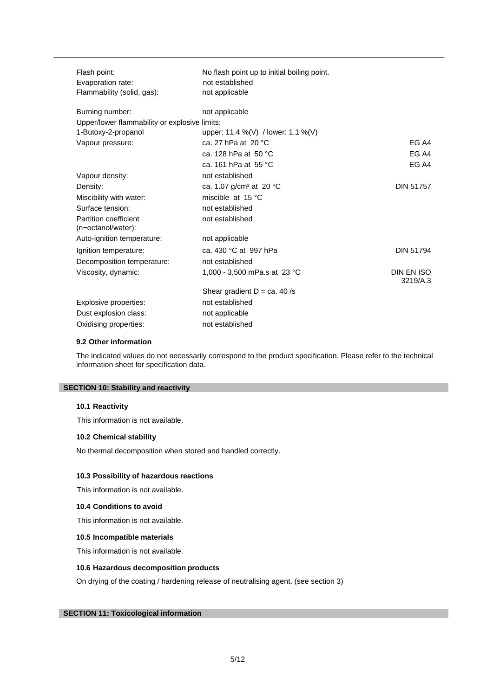| Flash point:                                  | No flash point up to initial boiling point. |                        |
|-----------------------------------------------|---------------------------------------------|------------------------|
| Evaporation rate:                             | not established                             |                        |
| Flammability (solid, gas):                    | not applicable                              |                        |
| Burning number:                               | not applicable                              |                        |
| Upper/lower flammability or explosive limits: |                                             |                        |
| 1-Butoxy-2-propanol                           | upper: 11.4 %(V) / lower: 1.1 %(V)          |                        |
| Vapour pressure:                              | ca. 27 hPa at 20 °C                         | EG A4                  |
|                                               | ca. 128 hPa at $50 °C$                      | EG A4                  |
|                                               | ca. 161 hPa at 55 °C                        | EG A4                  |
| Vapour density:                               | not established                             |                        |
| Density:                                      | ca. 1.07 g/cm <sup>3</sup> at 20 °C         | <b>DIN 51757</b>       |
| Miscibility with water:                       | miscible at 15 °C                           |                        |
| Surface tension:                              | not established                             |                        |
| Partition coefficient<br>(n-octanol/water):   | not established                             |                        |
| Auto-ignition temperature:                    | not applicable                              |                        |
| Ignition temperature:                         | ca. 430 °C at 997 hPa                       | <b>DIN 51794</b>       |
| Decomposition temperature:                    | not established                             |                        |
| Viscosity, dynamic:                           | 1,000 - 3,500 mPa.s at 23 °C                | DIN EN ISO<br>3219/A.3 |
|                                               | Shear gradient $D = ca. 40/s$               |                        |
| Explosive properties:                         | not established                             |                        |
| Dust explosion class:                         | not applicable                              |                        |
| Oxidising properties:                         | not established                             |                        |

### **9.2 Other information**

The indicated values do not necessarily correspond to the product specification. Please refer to the technical information sheet for specification data.

### **SECTION 10: Stability and reactivity**

### **10.1 Reactivity**

This information is not available.

### **10.2 Chemical stability**

No thermal decomposition when stored and handled correctly.

### **10.3 Possibility of hazardous reactions**

This information is not available.

### **10.4 Conditions to avoid**

This information is not available.

### **10.5 Incompatible materials**

This information is not available.

### **10.6 Hazardous decomposition products**

On drying of the coating / hardening release of neutralising agent. (see section 3)

### **SECTION 11: Toxicological information**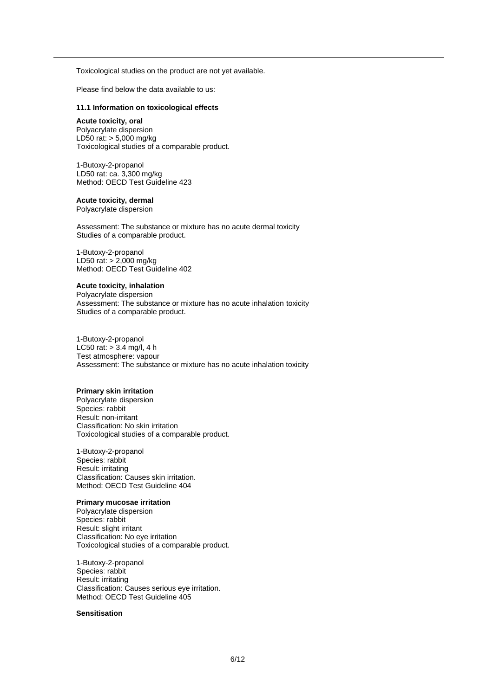Toxicological studies on the product are not yet available.

Please find below the data available to us:

### **11.1 Information on toxicological effects**

### **Acute toxicity, oral**

Polyacrylate dispersion LD50 rat: > 5,000 mg/kg Toxicological studies of a comparable product.

1-Butoxy-2-propanol LD50 rat: ca. 3,300 mg/kg Method: OECD Test Guideline 423

### **Acute toxicity, dermal**

Polyacrylate dispersion

Assessment: The substance or mixture has no acute dermal toxicity Studies of a comparable product.

1-Butoxy-2-propanol LD50 rat: > 2,000 mg/kg Method: OECD Test Guideline 402

### **Acute toxicity, inhalation**

Polyacrylate dispersion Assessment: The substance or mixture has no acute inhalation toxicity Studies of a comparable product.

1-Butoxy-2-propanol LC50 rat:  $> 3.4$  mg/l, 4 h Test atmosphere: vapour Assessment: The substance or mixture has no acute inhalation toxicity

#### **Primary skin irritation**

Polyacrylate dispersion Species: rabbit Result: non-irritant Classification: No skin irritation Toxicological studies of a comparable product.

1-Butoxy-2-propanol Species: rabbit Result: irritating Classification: Causes skin irritation. Method: OECD Test Guideline 404

### **Primary mucosae irritation**

Polyacrylate dispersion Species: rabbit Result: slight irritant Classification: No eye irritation Toxicological studies of a comparable product.

1-Butoxy-2-propanol Species: rabbit Result: irritating Classification: Causes serious eye irritation. Method: OECD Test Guideline 405

### **Sensitisation**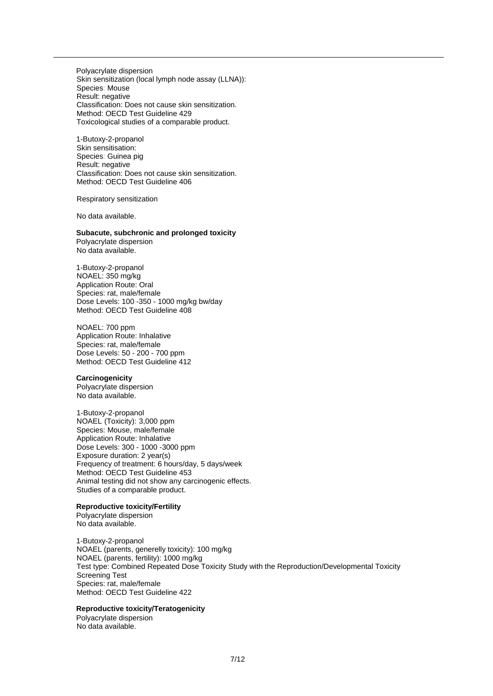Polyacrylate dispersion Skin sensitization (local lymph node assay (LLNA)): Species: Mouse Result: negative Classification: Does not cause skin sensitization. Method: OECD Test Guideline 429 Toxicological studies of a comparable product.

1-Butoxy-2-propanol Skin sensitisation: Species: Guinea pig Result: negative Classification: Does not cause skin sensitization. Method: OECD Test Guideline 406

Respiratory sensitization

No data available.

**Subacute, subchronic and prolonged toxicity** Polyacrylate dispersion

No data available.

1-Butoxy-2-propanol NOAEL: 350 mg/kg Application Route: Oral Species: rat, male/female Dose Levels: 100 -350 - 1000 mg/kg bw/day Method: OECD Test Guideline 408

NOAEL: 700 ppm Application Route: Inhalative Species: rat, male/female Dose Levels: 50 - 200 - 700 ppm Method: OECD Test Guideline 412

### **Carcinogenicity**

Polyacrylate dispersion No data available.

1-Butoxy-2-propanol NOAEL (Toxicity): 3,000 ppm Species: Mouse, male/female Application Route: Inhalative Dose Levels: 300 - 1000 -3000 ppm Exposure duration: 2 year(s) Frequency of treatment: 6 hours/day, 5 days/week Method: OECD Test Guideline 453 Animal testing did not show any carcinogenic effects. Studies of a comparable product.

#### **Reproductive toxicity/Fertility**

Polyacrylate dispersion No data available.

1-Butoxy-2-propanol NOAEL (parents, generelly toxicity): 100 mg/kg NOAEL (parents, fertility): 1000 mg/kg Test type: Combined Repeated Dose Toxicity Study with the Reproduction/Developmental Toxicity Screening Test Species: rat, male/female Method: OECD Test Guideline 422

### **Reproductive toxicity/Teratogenicity**

Polyacrylate dispersion No data available.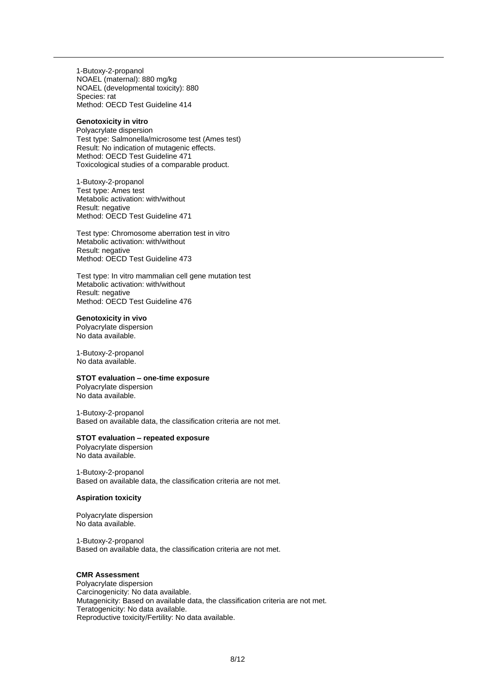1-Butoxy-2-propanol NOAEL (maternal): 880 mg/kg NOAEL (developmental toxicity): 880 Species: rat Method: OECD Test Guideline 414

#### **Genotoxicity in vitro**

Polyacrylate dispersion Test type: Salmonella/microsome test (Ames test) Result: No indication of mutagenic effects. Method: OECD Test Guideline 471 Toxicological studies of a comparable product.

1-Butoxy-2-propanol Test type: Ames test Metabolic activation: with/without Result: negative Method: OECD Test Guideline 471

Test type: Chromosome aberration test in vitro Metabolic activation: with/without Result: negative Method: OECD Test Guideline 473

Test type: In vitro mammalian cell gene mutation test Metabolic activation: with/without Result: negative Method: OECD Test Guideline 476

### **Genotoxicity in vivo**

Polyacrylate dispersion No data available.

1-Butoxy-2-propanol No data available.

### **STOT evaluation – one-time exposure**

Polyacrylate dispersion No data available.

1-Butoxy-2-propanol Based on available data, the classification criteria are not met.

### **STOT evaluation – repeated exposure**

Polyacrylate dispersion No data available.

1-Butoxy-2-propanol Based on available data, the classification criteria are not met.

### **Aspiration toxicity**

Polyacrylate dispersion No data available.

1-Butoxy-2-propanol Based on available data, the classification criteria are not met.

### **CMR Assessment**

Polyacrylate dispersion Carcinogenicity: No data available. Mutagenicity: Based on available data, the classification criteria are not met. Teratogenicity: No data available. Reproductive toxicity/Fertility: No data available.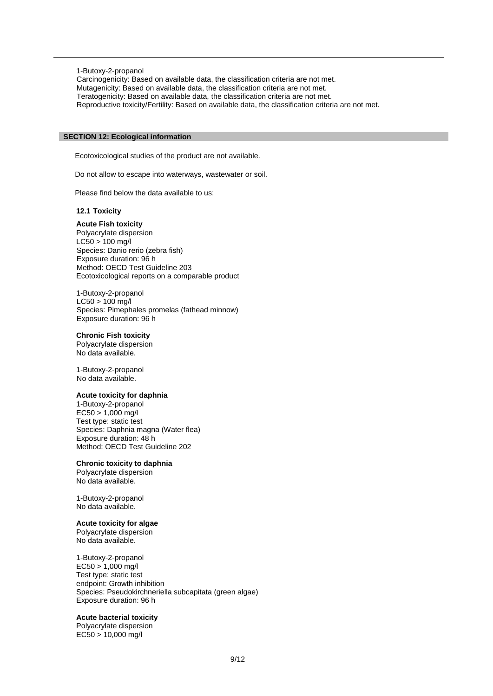1-Butoxy-2-propanol

Carcinogenicity: Based on available data, the classification criteria are not met. Mutagenicity: Based on available data, the classification criteria are not met. Teratogenicity: Based on available data, the classification criteria are not met. Reproductive toxicity/Fertility: Based on available data, the classification criteria are not met.

### **SECTION 12: Ecological information**

Ecotoxicological studies of the product are not available.

Do not allow to escape into waterways, wastewater or soil.

Please find below the data available to us:

### **12.1 Toxicity**

### **Acute Fish toxicity**

Polyacrylate dispersion LC50 > 100 mg/l Species: Danio rerio (zebra fish) Exposure duration: 96 h Method: OECD Test Guideline 203 Ecotoxicological reports on a comparable product

1-Butoxy-2-propanol  $LC50 > 100$  mg/l Species: Pimephales promelas (fathead minnow) Exposure duration: 96 h

### **Chronic Fish toxicity**

Polyacrylate dispersion No data available.

1-Butoxy-2-propanol No data available.

### **Acute toxicity for daphnia**

1-Butoxy-2-propanol EC50 > 1,000 mg/l Test type: static test Species: Daphnia magna (Water flea) Exposure duration: 48 h Method: OECD Test Guideline 202

### **Chronic toxicity to daphnia**

Polyacrylate dispersion No data available.

1-Butoxy-2-propanol No data available.

### **Acute toxicity for algae**

Polyacrylate dispersion No data available.

1-Butoxy-2-propanol  $EC50 > 1,000$  mg/l Test type: static test endpoint: Growth inhibition Species: Pseudokirchneriella subcapitata (green algae) Exposure duration: 96 h

### **Acute bacterial toxicity**

Polyacrylate dispersion EC50 > 10,000 mg/l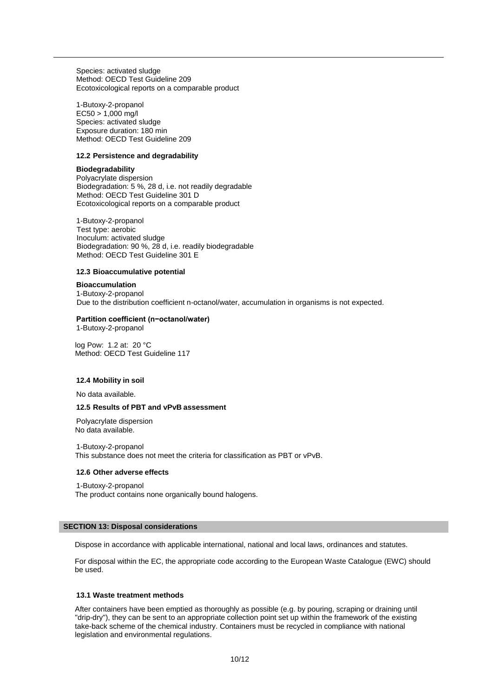Species: activated sludge Method: OECD Test Guideline 209 Ecotoxicological reports on a comparable product

1-Butoxy-2-propanol  $EC50 > 1,000$  mg/l Species: activated sludge Exposure duration: 180 min Method: OECD Test Guideline 209

### **12.2 Persistence and degradability**

### **Biodegradability**

Polyacrylate dispersion Biodegradation: 5 %, 28 d, i.e. not readily degradable Method: OECD Test Guideline 301 D Ecotoxicological reports on a comparable product

1-Butoxy-2-propanol Test type: aerobic Inoculum: activated sludge Biodegradation: 90 %, 28 d, i.e. readily biodegradable Method: OECD Test Guideline 301 E

### **12.3 Bioaccumulative potential**

#### **Bioaccumulation**

1-Butoxy-2-propanol Due to the distribution coefficient n-octanol/water, accumulation in organisms is not expected.

### **Partition coefficient (n−octanol/water)**

1-Butoxy-2-propanol

log Pow: 1.2 at: 20 °C Method: OECD Test Guideline 117

### **12.4 Mobility in soil**

No data available.

### **12.5 Results of PBT and vPvB assessment**

Polyacrylate dispersion No data available.

1-Butoxy-2-propanol This substance does not meet the criteria for classification as PBT or vPvB.

### **12.6 Other adverse effects**

1-Butoxy-2-propanol The product contains none organically bound halogens.

### **SECTION 13: Disposal considerations**

Dispose in accordance with applicable international, national and local laws, ordinances and statutes.

For disposal within the EC, the appropriate code according to the European Waste Catalogue (EWC) should be used.

### **13.1 Waste treatment methods**

After containers have been emptied as thoroughly as possible (e.g. by pouring, scraping or draining until "drip-dry"), they can be sent to an appropriate collection point set up within the framework of the existing take-back scheme of the chemical industry. Containers must be recycled in compliance with national legislation and environmental regulations.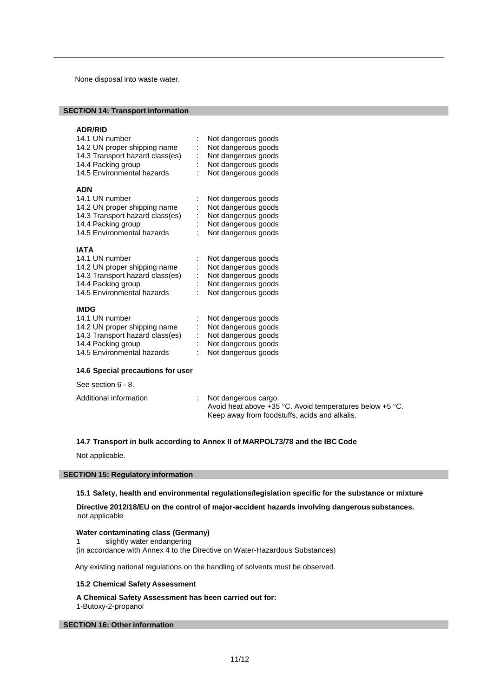None disposal into waste water.

### **SECTION 14: Transport information**

### **ADR/RID**

| 14.1 UN number<br>14.2 UN proper shipping name<br>14.3 Transport hazard class(es)<br>14.4 Packing group<br>14.5 Environmental hazards | Not dangerous goods<br>Not dangerous goods<br>Not dangerous goods<br>Not dangerous goods<br>Not dangerous goods |
|---------------------------------------------------------------------------------------------------------------------------------------|-----------------------------------------------------------------------------------------------------------------|
| <b>ADN</b>                                                                                                                            |                                                                                                                 |
| 14.1 UN number                                                                                                                        | Not dangerous goods                                                                                             |
| 14.2 UN proper shipping name                                                                                                          | Not dangerous goods                                                                                             |
| 14.3 Transport hazard class(es)                                                                                                       | Not dangerous goods                                                                                             |
| 14.4 Packing group                                                                                                                    | Not dangerous goods                                                                                             |
| 14.5 Environmental hazards                                                                                                            | Not dangerous goods                                                                                             |
| <b>IATA</b>                                                                                                                           |                                                                                                                 |
| 14.1 UN number                                                                                                                        | Not dangerous goods                                                                                             |
| 14.2 UN proper shipping name                                                                                                          | Not dangerous goods                                                                                             |
| 14.3 Transport hazard class(es)                                                                                                       | Not dangerous goods                                                                                             |
| 14.4 Packing group                                                                                                                    | Not dangerous goods                                                                                             |
| 14.5 Environmental hazards                                                                                                            | Not dangerous goods                                                                                             |
| <b>IMDG</b>                                                                                                                           |                                                                                                                 |
| 14.1 UN number                                                                                                                        | Not dangerous goods                                                                                             |

| <u>INUL UAHYGIUUS YUUUS</u> |
|-----------------------------|
| : Not dangerous goods       |
| : Not dangerous goods       |
| : Not dangerous goods       |
| : Not dangerous goods       |
|                             |

### **14.6 Special precautions for user**

See section 6 - 8.

| Additional information | : Not dangerous cargo.                                       |
|------------------------|--------------------------------------------------------------|
|                        | Avoid heat above $+35$ °C. Avoid temperatures below $+5$ °C. |
|                        | Keep away from foodstuffs, acids and alkalis,                |

### **14.7 Transport in bulk according to Annex II of MARPOL73/78 and the IBC Code**

Not applicable.

### **SECTION 15: Regulatory information**

### **15.1 Safety, health and environmental regulations/legislation specific for the substance or mixture**

**Directive 2012/18/EU on the control of major-accident hazards involving dangerous substances.** not applicable

### **Water contaminating class (Germany)**

1 slightly water endangering

(in accordance with Annex 4 to the Directive on Water-Hazardous Substances)

Any existing national regulations on the handling of solvents must be observed.

### **15.2 Chemical Safety Assessment**

### **A Chemical Safety Assessment has been carried out for:**

1-Butoxy-2-propanol

### **SECTION 16: Other information**